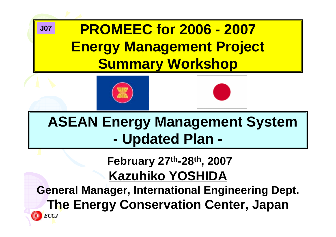### **PROMEEC for 2006 - 2007 Energy Management Project Summary Workshop J07**





### **ASEAN Energy Management System - Updated Plan -**

### **February 27th-28th, 2007 Kazuhiko YOSHIDA**

**General Manager, International Engineering Dept. The Energy Conservation Center, Japan** *ECCJ*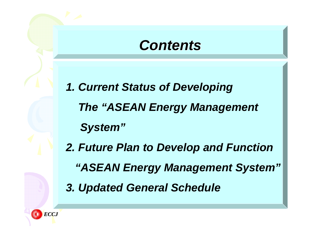### *Contents Contents*

- *1. Current Status of Developing The "ASEAN Energy Management System"*
- *2. Future Plan to Develop and Function "ASEAN Energy Management System" 3. Updated General Schedule*

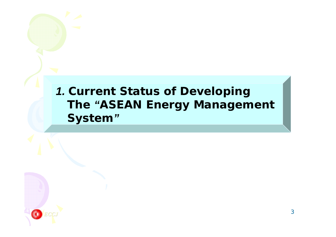### *1. Current Status of Developing The "ASEAN Energy Management System"*

*ECCJ*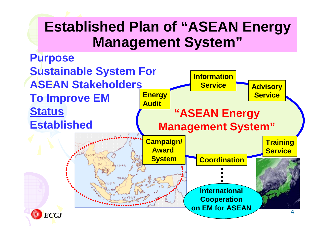## **Established Plan of "ASEAN Energy Management System"**

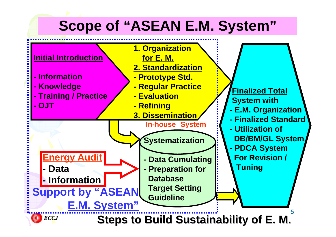# **Scope of "ASEAN E.M. System"**



**Steps to Build Sustaina Steps to Build Sustainability of E. M. y of E. M.**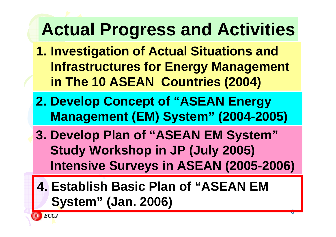# **Actual Progress and Activities**

- **1. Investigation of Actual Situations and Infrastructures for Energy Management in The 10 ASEAN Countries (2004)**
- **2. Develop Concept of "ASEAN Energy Management (EM) System" (2004-2005)**
- **3. Develop Plan of "ASEAN EM System" Study Workshop in JP (July 2005) Intensive Surveys in ASEAN (2005-2006)**
- **4. Establish Basic Plan of "ASEAN EM System" (Jan. 2006)**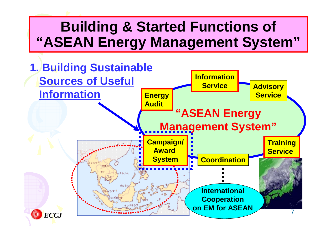# **Building & Started Functions of "ASEAN Energy Management System"**

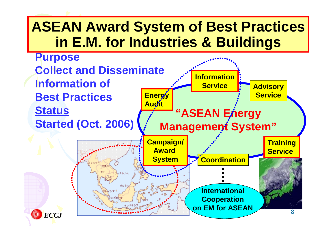# **ASEAN Award System of Best Practices in E.M. for Industries & Buildings**

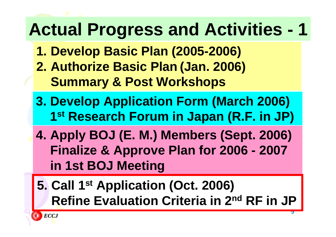# **Actual Progress and Activities - 1**

- **1. Develop Basic Plan (2005-2006) 2. Authorize Basic Plan (Jan. 2006) Summary & Post Workshops**
- **3. Develop Application Form (March 2006) 1st Research Forum in Japan (R.F. in JP)**
- **4. Apply BOJ (E. M.) Members (Sept. 2006) Finalize & Approve Plan for 2006 - 2007 in 1st BOJ Meeting**
- **5. Call 1st Application (Oct. 2006) Refine Evaluation Criteria in 2nd RF in JP**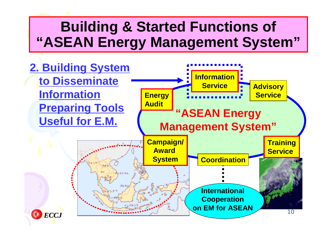# **Building & Started Functions of "ASEAN Energy Management System"**

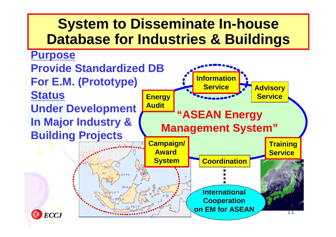### **System to Disseminate In-house Database for Industries & Buildings**

### **Purpose**

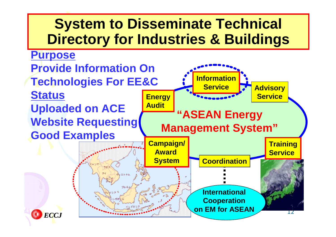### **System to Disseminate Technical Directory for Industries & Buildings**



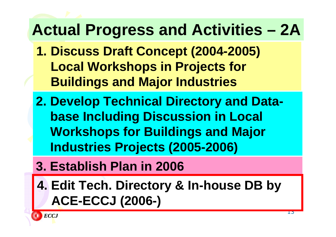# **Actual Progress and Activities – 2A**

- **1. Discuss Draft Concept (2004-2005) Local Workshops in Projects for Buildings and Major Industries**
- **2. Develop Technical Directory and Database Including Discussion in Local Workshops for Buildings and Major Industries Projects (2005-2006)**
- **3. Establish Plan in 2006**
- **4. Edit Tech. Directory & In-house DB by ACE-ECCJ (2006-)**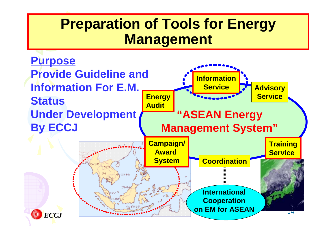### **Preparation of Tools for Energy Management**

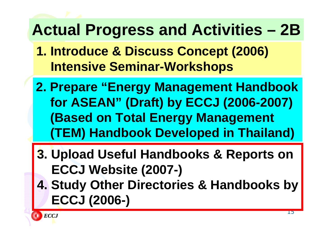# **Actual Progress and Activities – 2B**

- **1. Introduce & Discuss Concept (2006) Intensive Seminar-Workshops**
- **2. Prepare "Energy Management Handbook for ASEAN" (Draft) by ECCJ (2006-2007) (Based on Total Energy Management (TEM) Handbook Developed in Thailand)**
- **3. Upload Useful Handbooks & Reports on ECCJ Website (2007-)**
- **4. Study Other Directories & Handbooks by ECCJ (2006-)**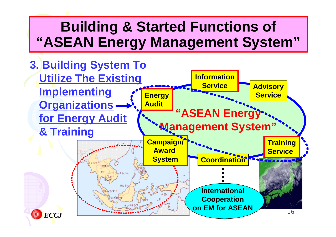# **Building & Started Functions of "ASEAN Energy Management System"**

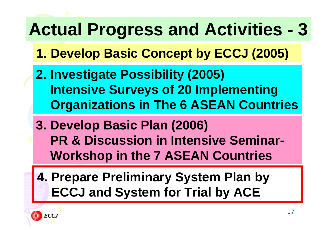# **Actual Progress and Activities - 3**

- **1. Develop Basic Concept by ECCJ (2005)**
- **2. Investigate Possibility (2005) Intensive Surveys of 20 Implementing Organizations in The 6 ASEAN Countries**
- **3. Develop Basic Plan (2006) PR & Discussion in Intensive Seminar-Workshop in the 7 ASEAN Countries**
- **4. Prepare Preliminary System Plan by ECCJ and System for Trial by ACE**

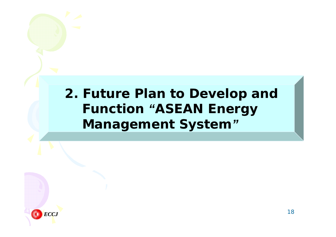### *2. Future Plan to Develop and Function "ASEAN Energy Management System "*

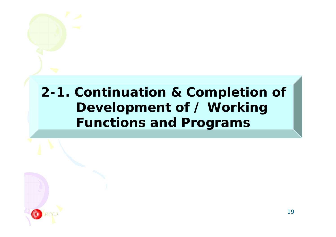### *2-1. Continuation & Completion of Development of / Working Functions and Programs*

*ECCJ*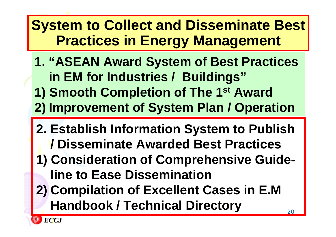# **System to Collect and Disseminate Best Practices in Energy Management**

- **1. "ASEAN Award System of Best Practices in EM for Industries / Buildings"**
- **1) Smooth Completion of The 1st Award**
- **2) Improvement of System Plan / Operation**
- **2. Establish Information System to Publish / Disseminate Awarded Best Practices**
- **1) Consideration of Comprehensive Guideline to Ease Dissemination**
- **2) Compilation of Excellent Cases in E.M Handbook / Technical Directory**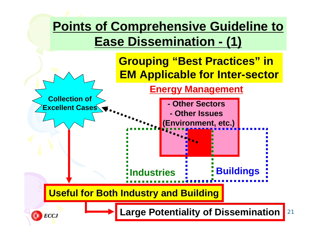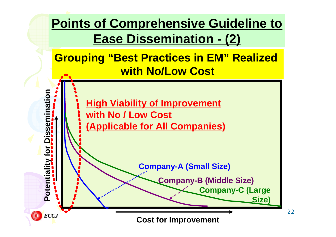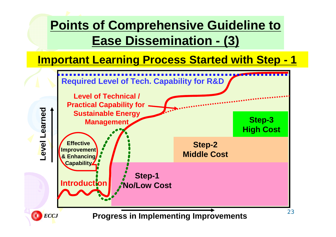### **Points of Comprehensive Guideline to Ease Dissemination - (3)**

### **Important Learning Process Started with Step - 1**

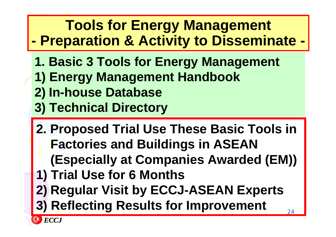### **Tools for Energy Management - Preparation & Activity to Disseminate -**

- **1. Basic 3 Tools for Energy Management**
- **1) Energy Management Handbook**
- **2) In-house Database**
- **3) Technical Directory**
- 24**2. Proposed Trial Use These Basic Tools in Factories and Buildings in ASEAN (Especially at Companies Awarded (EM)) 1) Trial Use for 6 Months 2) Regular Visit by ECCJ-ASEAN Experts 3) Reflecting Results for Improvement**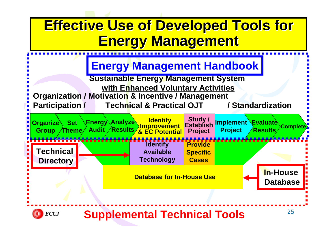## **Effective Use of Developed Tools for Energy Management Energy Management**





### **Supplemental Technical Tools**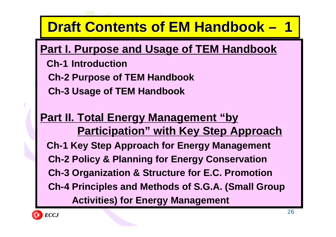#### **Draft Contents of EM Handbook Draft 1**

### **Part I. Purpose and Usage of TEM Handbook**

- **Ch-1 Introduction**
- **Ch-2 Purpose of TEM Handbook**
- **Ch-3 Usage of TEM Handbook**

### **Part II. Total Energy Management "by Participation" with Key Step Approach Ch-1 Key Step Approach for Energy Management Ch-2 Policy & Planning for Energy Conservation Ch-3 Organization & Structure for E.C. Promotion Ch-4 Principles and Methods of S.G.A. (Small Group Activities) for Energy Management**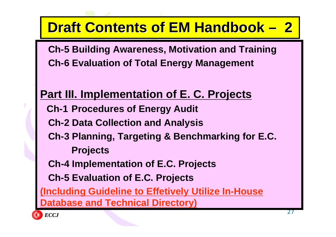#### **Draft Contents of EM Handbook 2**

**Ch-5 Building Awareness, Motivation and Training Ch-6 Evaluation of Total Energy Management**

### **Part III. Implementation of E. C. Projects Ch-1 Procedures of Energy Audit Ch-2 Data Collection and Analysis Ch-3 Planning, Targeting & Benchmarking for E.C. Projects Ch-4 Implementation of E.C. Projects Ch-5 Evaluation of E.C. Projects (Including Guideline to Effetively Utilize In-House Atabase and Technical Directory)**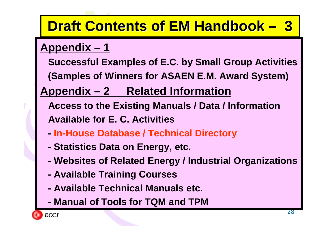#### **Draft Contents of EM Handbook Draft 3**

### **Appendix – 1**

- **Successful Examples of E.C. by Small Group Activities**
- **(Samples of Winners for ASAEN E.M. Award System)**

### **Appendix – 2 Related Information**

- **Access to the Existing Manuals / Data / Information Available for E. C. Activities**
- **-In-House Database / Technical Directory**
- **- Statistics Data on Energy, etc.**
- **- Websites of Related Energy / Industrial Organizations**
- **- Available Training Courses**
- **- Available Technical Manuals etc.**
- **- Manual of Tools for TQM and TPM**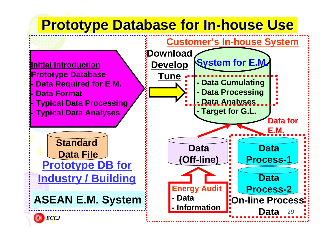# **Prototype Database for In Prototype Database for In -house Use house Use**







**Data**

**Data for**

**E.M.**

**Data**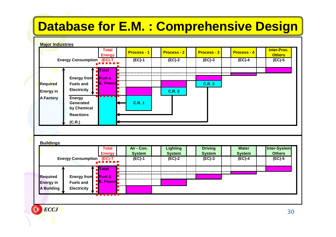### **Database for E.M. : Comprehensive Design**

#### **Major Industries Energy Process - 1 Process - 2 Process - 3 Process - 4 Inter-Proc. Others TotalEnergy Consumption (EC)-T (EC)-1 (EC)-2 (EC)-3 (EC)-4 (EC)-5 TotalEnergy from Fuel & Required Fuels and E. Power C.R. 3 Energy in Electricity C.R. 2 THE R A Factory Energy Generated C.R. 1by Chemical Reactions (C.R.) Buildings Air - Con.Lighting Driving WaterTotalSystem System System System Energy Total**

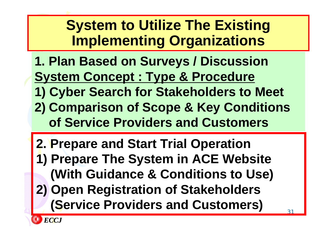# **System to Utilize The Existing Implementing Organizations**

- **1. Plan Based on Surveys / Discussion System Concept : Type & Procedure**
- **1) Cyber Search for Stakeholders to Meet**
- **2) Comparison of Scope & Key Conditions of Service Providers and Customers**
- **2. Prepare and Start Trial Operation 1) Prepare The System in ACE Website (With Guidance & Conditions to Use) 2) Open Registration of Stakeholders (Service Providers and Customers)**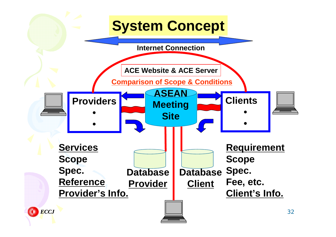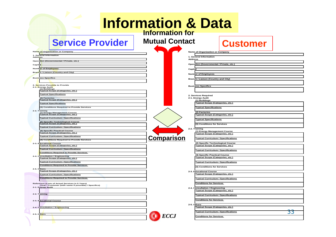| <b>Information &amp; Data</b><br><b>Information for</b>                                                               |                                            |                                                                         |    |  |  |  |  |  |
|-----------------------------------------------------------------------------------------------------------------------|--------------------------------------------|-------------------------------------------------------------------------|----|--|--|--|--|--|
| <b>Service Provider</b>                                                                                               | <b>Mutual Contact</b>                      | <b>Customer</b>                                                         |    |  |  |  |  |  |
| Na <mark>me of Organization or Company</mark><br>1. General Information                                               | Name of Organization or Company            |                                                                         |    |  |  |  |  |  |
| Addr <mark>ess</mark>                                                                                                 | 1. General Information<br><b>Address</b>   |                                                                         |    |  |  |  |  |  |
| Operation (Governmental / Private, etc.)                                                                              |                                            | Operation (Governmental / Private, etc.)                                |    |  |  |  |  |  |
| Capital<br>Numb <mark>er of Employees</mark>                                                                          | Capital                                    |                                                                         |    |  |  |  |  |  |
| Branch / Liaison (Country and City)                                                                                   |                                            |                                                                         |    |  |  |  |  |  |
| Bus <mark>iness Spe</mark> cifics                                                                                     | <b>Number of Employees</b>                 |                                                                         |    |  |  |  |  |  |
|                                                                                                                       | <b>Branch / Liaison (Country and City)</b> |                                                                         |    |  |  |  |  |  |
| 2. Services Possible to Provide<br>2-1. Energy Audit                                                                  | <b>Business Specifics</b>                  |                                                                         |    |  |  |  |  |  |
| (1) Buildings<br><b>Typical Scope (Categories, etc.)</b>                                                              |                                            |                                                                         |    |  |  |  |  |  |
| <b>Typical Specifications</b>                                                                                         | 2. Services Required                       |                                                                         |    |  |  |  |  |  |
| (2) Factories<br>Typical Scope (Categories, etc.)                                                                     | 2-1. Energy Audit<br>(1) Buildings         |                                                                         |    |  |  |  |  |  |
| <b>Typical Specifications</b>                                                                                         |                                            | <b>Typical Scope (Categories, etc.)</b>                                 |    |  |  |  |  |  |
| (3) Conditions Required to Provide Services<br>2-2. Training                                                          | <b>Typical Specifications</b>              |                                                                         |    |  |  |  |  |  |
| (1) Energy Management Course<br><b>Typical Scope (Categories, etc.)</b>                                               | (2) Factories                              | Typical Scope (Categories, etc.)                                        |    |  |  |  |  |  |
| <b>Typical Curriculum / Specifications</b>                                                                            | <b>Typical Specifications</b>              |                                                                         |    |  |  |  |  |  |
| (2) Specific Technological Course<br><b>Typical Scope (Categories, etc.)</b>                                          |                                            | (3) Conditions for Services                                             |    |  |  |  |  |  |
| <b>Typical Curriculum / Specifications</b>                                                                            | 2-2. Training                              |                                                                         |    |  |  |  |  |  |
| (3) Specific Practical Course<br><b>Typical Scope (Categories, etc.)</b>                                              |                                            | (1) Energy Management Course<br><b>Typical Scope (Categories, etc.)</b> |    |  |  |  |  |  |
| <b>Typical Curriculum / Specifications</b>                                                                            | <b>Comparison</b>                          | <b>Typical Curriculum / Specifications</b>                              |    |  |  |  |  |  |
| (4) Conditions Required to Provide Services                                                                           |                                            | (2) Specific Technological Course                                       |    |  |  |  |  |  |
| $2 - 3$ .<br>E <mark>d</mark> ucation <mark>al</mark> Course<br>Typical Scope (Categories, etc.)                      |                                            | <b>Typical Scope (Categories, etc.)</b>                                 |    |  |  |  |  |  |
| <b>Typical Curriculum / Specifications</b>                                                                            |                                            | <b>Typical Curriculum / Specifications</b>                              |    |  |  |  |  |  |
| Conditions Required to Provide Services<br>$2 - 4.$<br>Consultation / Engineering<br>Typical Scope (Categories, etc.) |                                            | (3) Specific Practical Course                                           |    |  |  |  |  |  |
| <b>Typical Curriculum / Specifications</b>                                                                            |                                            | <b>Typical Scope (Categories, etc.)</b>                                 |    |  |  |  |  |  |
| <b>Conditions Required to Provide Services</b>                                                                        |                                            | <b>Typical Curriculum / Specifications</b>                              |    |  |  |  |  |  |
| 2-5. Others<br><b>Typical Scope (Categories, etc.)</b>                                                                |                                            | (4) Conditions for Services                                             |    |  |  |  |  |  |
| <b>Typical Curriculum / Specifications</b>                                                                            | 2-3. Educational Course                    | <b>Typical Scope (Categories, etc.)</b>                                 |    |  |  |  |  |  |
| <b>Conditions Required to Provide Services</b>                                                                        |                                            | <b>Typical Curriculum / Specifications</b>                              |    |  |  |  |  |  |
| Reference (Lists of Actual Services in 5 Years)                                                                       |                                            | <b>Conditions for Services</b>                                          |    |  |  |  |  |  |
| (Year / Customer (with name if possible) / Specifics)<br>2-1. Energy Audit                                            | 2-4. Consultation / Engineering            |                                                                         |    |  |  |  |  |  |
| 2-2. Training                                                                                                         |                                            | Typical Scope (Categories, etc.)                                        |    |  |  |  |  |  |
|                                                                                                                       |                                            | <b>Typical Curriculum / Specifications</b>                              |    |  |  |  |  |  |
| 2-3. Educational Course                                                                                               |                                            | <b>Conditions for Services</b>                                          |    |  |  |  |  |  |
| 2-4. Consultation / Engineering                                                                                       | 2-5. Others                                | Typical Scope (Categories, etc.)                                        |    |  |  |  |  |  |
|                                                                                                                       |                                            | <b>Typical Curriculum / Specifications</b>                              | 33 |  |  |  |  |  |
| 2-5. Others                                                                                                           | <b>ECCJ</b>                                | <b>Conditions for Services</b>                                          |    |  |  |  |  |  |
|                                                                                                                       |                                            |                                                                         |    |  |  |  |  |  |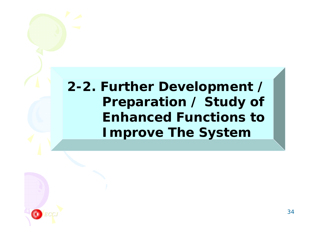### *2-2. Further Development / Preparation / Study of Enhanced Functions toImprove The System*

*ECCJ*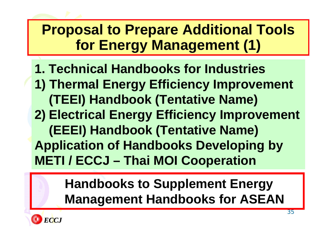# **Proposal to Prepare Additional Tools for Energy Management (1)**

- **1. Technical Handbooks for Industries**
- **1) Thermal Energy Efficiency Improvement (TEEI) Handbook (Tentative Name)**
- **2) Electrical Energy Efficiency Improvement (EEEI) Handbook (Tentative Name)**
- **Application of Handbooks Developing by METI / ECCJ – Thai MOI Cooperation**

### **Handbooks to Supplement Energy Management Handbooks for ASEAN**

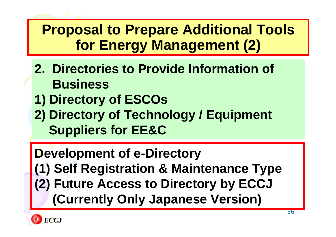# **Proposal to Prepare Additional Tools for Energy Management (2)**

- **2. Directories to Provide Information of Business**
- **1) Directory of ESCOs**
- **2) Directory of Technology / Equipment Suppliers for EE&C**

## **Development of e-Directory (1) Self Registration & Maintenance Type (2) Future Access to Directory by ECCJ (Currently Only Japanese Version)**

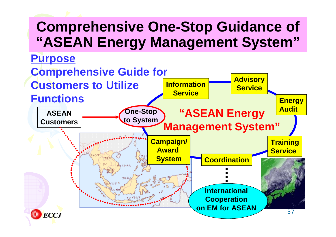## **Comprehensive One-Stop Guidance of "ASEAN Energy Management System"**

**Purpose** 

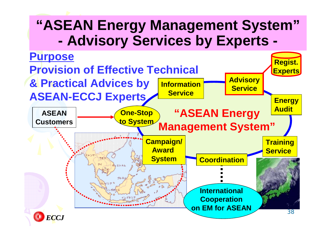### **"ASEAN Energy Management System" - Advisory Services by Experts -**

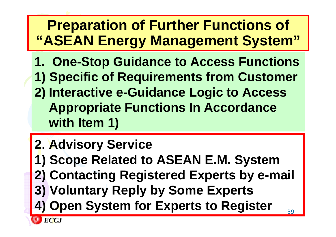# **Preparation of Further Functions of "ASEAN Energy Management System"**

- **1. One-Stop Guidance to Access Functions**
- **1) Specific of Requirements from Customer**
- **2) Interactive e-Guidance Logic to Access Appropriate Functions In Accordance with Item 1)**
- **2. Advisory Service**
- **1) Scope Related to ASEAN E.M. System**
- **2) Contacting Registered Experts by e-mail**
- **3) Voluntary Reply by Some Experts**
- **4) Open System for Experts to Register**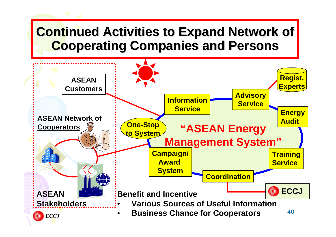### **Continued Activities to Expand Network of Cooperating Companies and Persons Cooperating Companies and Persons**

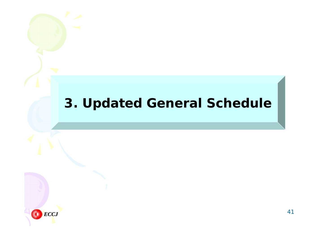### *3. Updated General Schedule*

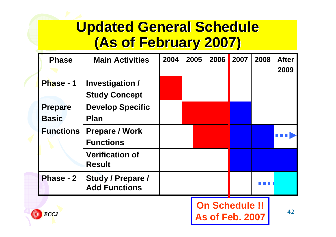## **Updated General Schedule Updated General Schedule (As of February 2007) (As of February 2007)**

| <b>Phase</b>                   | <b>Main Activities</b>                           | 2004 | 2005 | 2006 | 2007 | 2008 | <b>After</b><br>2009 |
|--------------------------------|--------------------------------------------------|------|------|------|------|------|----------------------|
| Phase - 1                      | <b>Investigation /</b><br><b>Study Concept</b>   |      |      |      |      |      |                      |
| <b>Prepare</b><br><b>Basic</b> | <b>Develop Specific</b><br><b>Plan</b>           |      |      |      |      |      |                      |
| <b>Functions</b>               | <b>Prepare / Work</b><br><b>Functions</b>        |      |      |      |      |      |                      |
|                                | <b>Verification of</b><br><b>Result</b>          |      |      |      |      |      |                      |
| <b>Phase - 2</b>               | <b>Study / Prepare /</b><br><b>Add Functions</b> |      |      |      |      |      |                      |

### **On Schedule !! As of Feb. 2007**

42